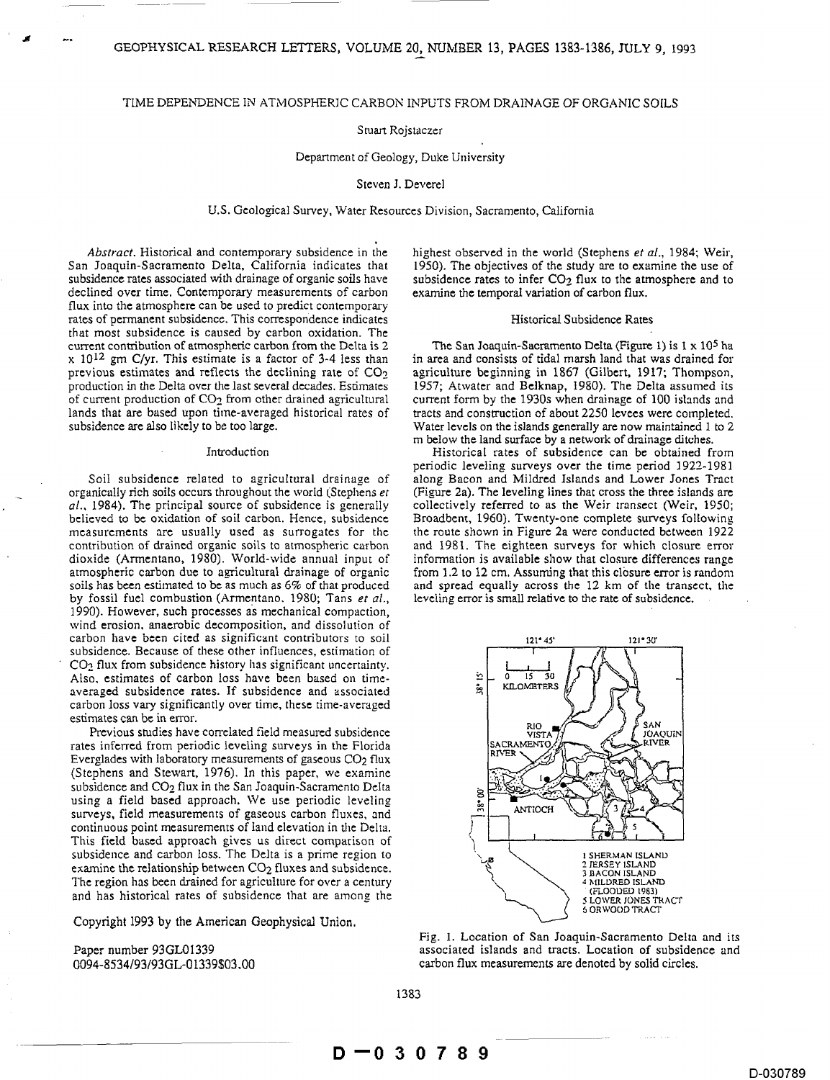## TIME DEPENDENCE IN ATMOSPHERIC CARBON INPUTS FROM DRAINAGE OF ORGANIC SOILS

# Stuart Rojstaczer

### Department of Geology, Duke University

## Steven J. Deverel

# U.S. Geological Survey, Water Resources Division, Sacramento, California

*Abstract.* Historical and contemporary subsidence in the highest observed in the world (Stephens *et al.,* 1984; Weir, subsidence rates associated with drainage of organic soils have subsidence rates to infer  $CO_2$  flux to the atmosphere and to declined over time. Contemporary measurements of carbon examine the temporal variation of carbo declined over time, Contemporary measurements of carbon flux into the atmosphere can be used to predict contemporary rates of permanent subsidence. This correspondence indicates Historical Subsidence Rates that most subsidence is caused by carbon oxidation. The current contribution of atmospheric carbon from the Delta is 2 The San Joaquin-Sacramento Delta (Figure 1) is  $1 \times 10^5$  ha x 10<sup>12</sup> gm C/yr. This estimate is a factor of 3-4 less than in area and consists of tidal marsh land that was drained for previous estimates and reflects the declining rate of  $CO<sub>2</sub>$  agriculture beginning in 1867 (Gilbert, 1917; Thompson, production in the Delta over the last several decades. Estimates 1957; Atwater and Belknap, 1980). T production in the Delta over the last several decades. Estimates of current production of CO2 from other drained agricultural current form by the 1930s when drainage of 100 islands and

organically rich soils occurs throughout the world (Stephens *et* (Figure 2a). The leveling lines that cross the three islands are *al.*, 1984). The principal source of subsidence is generally collectively referred to as t *al.*, 1984). The principal source of subsidence is generally believed to be oxidation of soil carbon. Hence, subsidence measurements are usually used as surrogates for the the route shown in Figure 2a were conducted between 1922 contribution of drained organic soils to atmospheric carbon and I981. The eighteen surveys for which closure error dioxide (Armentano, 1980). World-wide annual input of atmospheric carbon due to agricultural drainage of organic soils has been estimated to be as much as  $6\%$  of that produced and spread equally across the 12 km of the transect, the by fossil fuel combustion (Armentano, 1980; Tans et al., leveling error is small relative to the ra by fossil fuel combustion (Armentano. 1980; Tans et al., 1990). However, such processes as mechanical compaction, wind erosion, anaerobic decomposition, and dissolution of carbon have been cited as significant contributors to soil 12<sup>1</sup> 145' 121° 30' 121° 30' subsidence. Because of these other influences, estimation of CO2 flux from subsidence history has significant uncertainty. Also, estimates of carbon loss have been based on time-<br>averaged subsidence rates. If subsidence and associated  $\frac{2}{36}$  KILOMETER: averaged subsidence rates. If subsidence and associated carbon loss vary significantly over time, these time-averaged

Previous studies have correlated field measured subsidence<br>
Previous studies have correlated field measured subsidence<br>
Parties in the Florida<br>
Parties VISTArates inferred from periodic leveling surveys in the Florida Everglades with laboratory measurements of gaseous CO<sub>2</sub> flux (Stephens and Stewart, 1976). In this paper, we examine subsidence and CO<sub>2</sub> flux in the San Joaquin-Sacramento Delta subsidence and  $CO<sub>2</sub>$  flux in the san Joaquin-Sacramento Dena<br>using a field based approach. We use periodic leveling  $\frac{1}{m}$  ANTIOCH surveys, field measurements of gaseous carbon fluxes, and continuous point measurements of land elevation in the Delta. This field based approach gives us direct comparison of subsidence and carbon loss. The Delta is a prime region to  $\sum_{\substack{a \text{ S'RERAM ISLAND} \\ a \text{ BACON ISLAND}}}$ examine the relationship between CO<sub>2</sub> fluxes and subsidence.<br>The region has been drained for agriculture for over a century<br>and has historical gates of subsidence that are smann that The region has been drained for agriculture for over a century<br>and has historical rates of subsidence that are among the  $(FAOODED 1983)$ <br>SLOWER JONES TRACT

Copyright 1993 by the American Geophysical Union.

1950). The objectives of the study are to examine the use of

lands that are based upon time-averaged historical rates of tracts and construction of about 2250 levees were completed.<br>Water levels on the islands generally are now maintained 1 to 2 Water levels on the islands generally are now maintained 1 to 2 m below the land surface by a network of drainage ditches.

Introduction Historical rates of subsidence can be obtained from periodic leveling surveys over the time period 1922-1981 Soil subsidence related to agricultural drainage of along Bacon and Mildred Islands and Lower Jones Tract Broadbent, 1960). Twenty-one complete surveys following. from 1.2 to 12 cm. Assuming that this closure error is random



Fig. 1. Location of San Joaquin-Sacramento Delta and its Paper number 93GL01339 **associated islands and tracts. Location of subsidence and** 0094-8534/93/93GL-01339503.00 carbon flux measurements are denoted by solid circles.

1383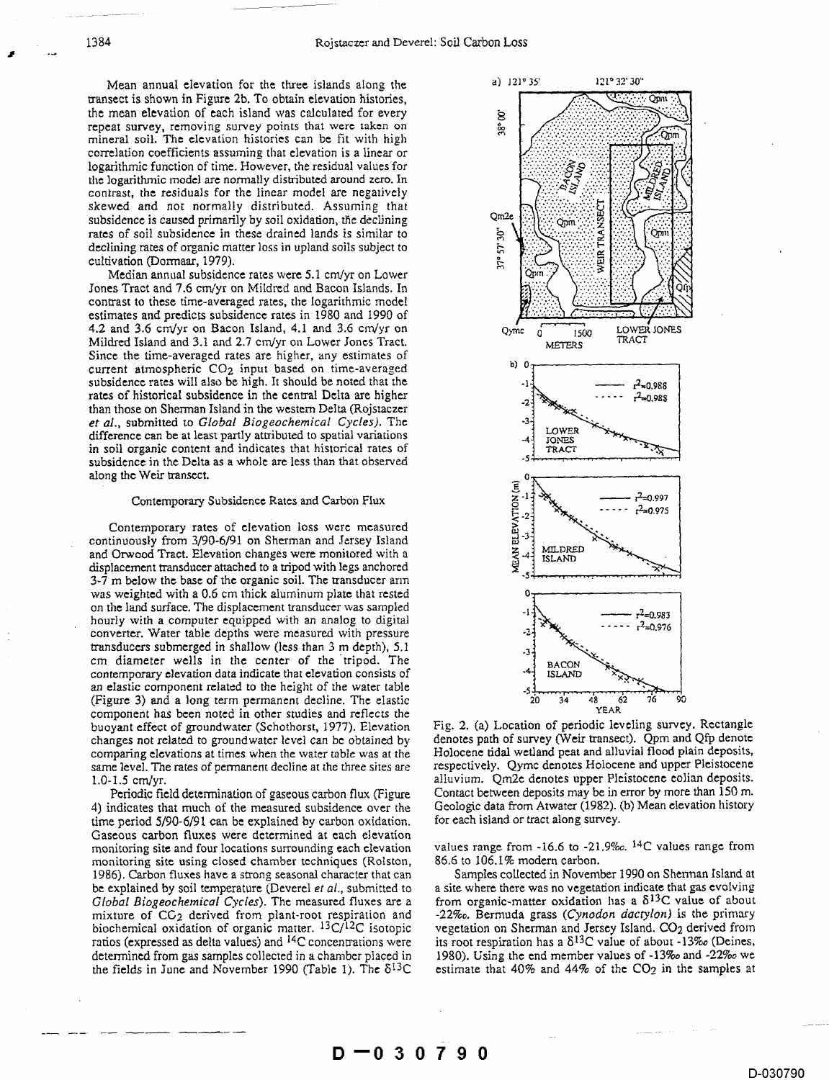Mean annual elevation for the three islands along the transect is shown in Figure 2b. To obtain elevation histories, the mean elevation of each island was calculated for every repeat survey, removing survey points that were taken on mineral soil. The elevation histories can be fit with high correlation coefficients assuming that elevation is a linear or logarithmic function of time. However, the residual values for the logarithmic model are normally distributed around zero. In contrast, the residuals for the linear model are negatively skewed and not normally distributed. Assuming that subsidence is caused primarily by soil oxidation, the declining rates of soil subsidence in these drained lands is similar to declining rates of organic matter loss in upland soils subject to cultivation (Dormaar, 1979).

Median annual subsidence rates were 5.1 cm/yr on Lower Jones Tract and 7.6 cm/yr on Mildred and Bacon Islands. In contrast to these time-averaged rates, the logarithmic model estimates and predicts subsidence rates in 1980 and 1990 of 4.2 and 3.6 cm/yr on Bacon Island, 4.1 and 3.6 cm/yr on Mildred Island and 3.1 and 2.7 cm/yr on Lower Jones Tract. Since the time-averaged rates are higher, any estimates of current atmospheric CO<sub>2</sub> input based on time-averaged subsidence rates will also be high. It should be noted that the rates of historical subsidence in the central Delta are higher than those on Sherman Island in the western Delta (Rojstaczer et al., submitted to Global Biogeochemical Cycles). The difference can be at least partly attributed to spatial variations in soil organic content and indicates that historical rates of subsidence in the Delta as a whole are less than that observed along the Weir transect.

## Contemporary Subsidence Rates and Carbon Flux

Contemporary rates of elevation loss were measured continuously from 3/90-6/91 on Sherman and Jersey Island and Orwood Tract. Elevation changes were monitored with a displacement transducer attached to a tripod with legs anchored 3-7 m below the base of the organic soil. The transducer arm was weighted with a 0.6 cm thick aluminum plate that rested on the land surface. The displacement transducer was sampled hourly with a computer equipped with an analog to digital converter. Water table depths were measured with pressure transducers submerged in shallow (less than 3 m depth), 5.1 cm diameter wells in the center of the tripod. The contemporary elevation data indicate that elevation consists of an elastic component related to the height of the water table (Figure 3) and a long term permanent decline. The elastic component has been noted in other studies and reflects the buoyant effect of groundwater (Schothorst, 1977). Elevation changes not related to groundwater level can be obtained by comparing elevations at times when the water table was at the same level. The rates of permanent decline at the three sites are  $1.0 - 1.5$  cm/yr.

Periodic field determination of gaseous carbon flux (Figure 4) indicates that much of the measured subsidence over the time period 5/90-6/91 can be explained by carbon oxidation. Gaseous carbon fluxes were determined at each elevation monitoring site and four locations surrounding each elevation monitoring site using closed chamber techniques (Rolston, 1986). Carbon fluxes have a strong seasonal character that can be explained by soil temperature (Deverel et al., submitted to Global Biogeochemical Cycles). The measured fluxes are a mixture of CG<sub>2</sub> derived from plant-root respiration and biochemical oxidation of organic matter. <sup>13</sup>C/<sup>12</sup>C isotopic ratios (expressed as delta values) and <sup>14</sup>C concentrations were determined from gas samples collected in a chamber placed in the fields in June and November 1990 (Table 1). The  $\delta^{13}C$ 



Fig. 2. (a) Location of periodic leveling survey. Rectangle denotes path of survey (Weir transect). Qpm and Qfp denote Holocene tidal wetland peat and alluvial flood plain deposits, respectively. Qymc denotes Holocene and upper Pleistocene alluvium. Qm2e denotes upper Pleistocene eolian deposits. Contact between deposits may be in error by more than 150 m. Geologic data from Atwater (1982). (b) Mean elevation history for each island or tract along survey.

values range from  $-16.6$  to  $-21.9\%$ . <sup>14</sup>C values range from 86.6 to 106.1% modern carbon.

Samples collected in November 1990 on Shennan Island at a site where there was no vegetation indicate that gas evolving from organic-matter oxidation has a  $\delta^{13}$ C value of about -22‰. Bermuda grass (Cynodon dactylon) is the primary vegetation on Sherman and Jersey Island. CO2 derived from its root respiration has a  $\delta^{13}$ C value of about -13‰ (Deines, 1980). Using the end member values of -13‰ and -22‰ we estimate that  $40\%$  and  $44\%$  of the CO<sub>2</sub> in the samples at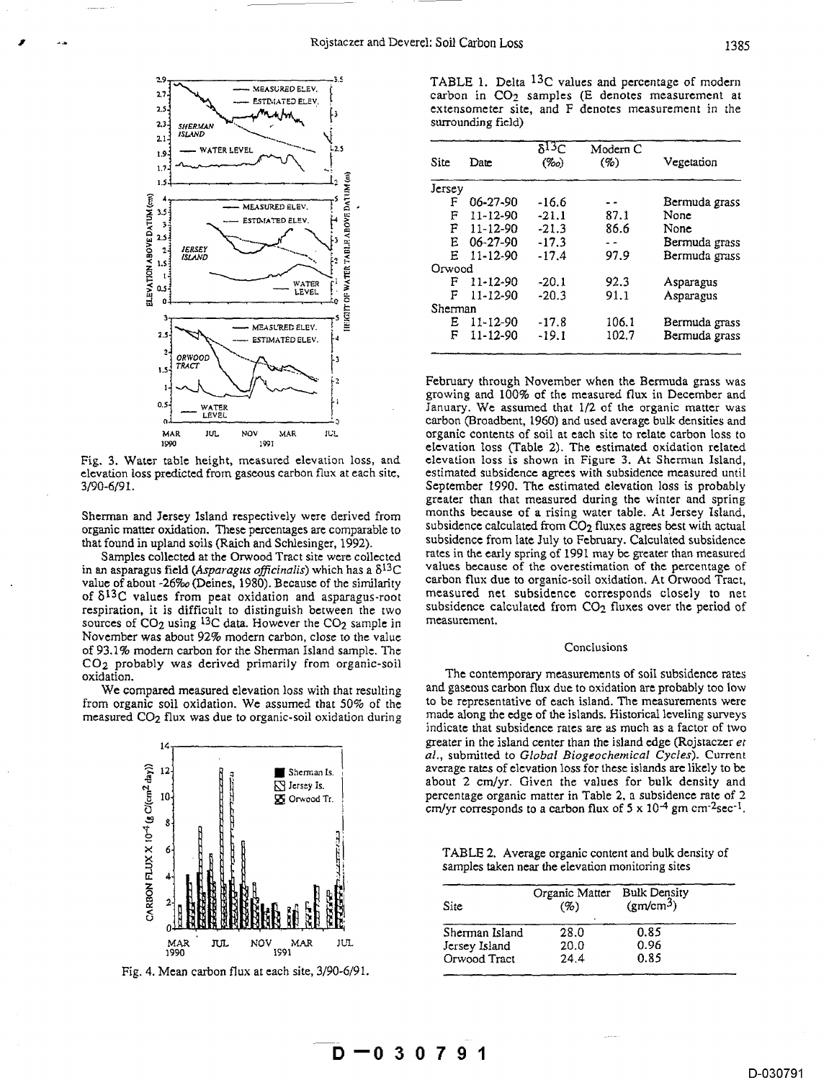

in an asparagus field *(Asparagus officinalis)* which has a  $\delta^{13}C$ respiration, it is difficult to distinguish between the two subsidence calculated from CO2 in the subsiderment. sources of  $CO<sub>2</sub>$  using <sup>13</sup>C data. However the  $CO<sub>2</sub>$  sample in November was about 92% modern carbon, close to the value of 93.1% modern carbon for the Sherman Island sample. The Conclusions Conclusions CO2 probably was derived primarily from organic-soil

measured CO<sub>2</sub> flux was due to organic-soil oxidation during



Fig. 4. Mean carbon flux at each site, 3/90-6/91.

TABLE 1. Delta <sup>13</sup>C values and percentage of modern MEASURED ELEV.<br>
ESTINATED ELEV.<br> **ESTINATED ELEV.**<br> **CARDICIAL PROPERTY CARDICIAL CARDICIAL CARDICIAL CARDICIAL CARDICIAL CARDICIAL CARDICIAL CARDICIAL CARDICIAL CARDICIAL CARDICIAL CARDICIAL CARDICIAL CARDICIAL CARDICIAL** extensometer site, and F denotes measurement in the surrounding field)

| 2.14<br>1.94<br>1.7.                         | i 2.5<br><b>WATER LEVEL</b>                         | Site    | Date           | $\delta^{13}C$<br>$(\%o)$ | Modern C<br>(9) | Vegetation    |
|----------------------------------------------|-----------------------------------------------------|---------|----------------|---------------------------|-----------------|---------------|
| $1.5 -$                                      |                                                     | Jersey  |                |                           |                 |               |
|                                              | -- MEASURED ELEV.                                   | F       | 06-27-90       | $-16.6$                   |                 | Bermuda grass |
| $3.5 -$                                      | ≏                                                   | F       | $11 - 12 - 90$ | $-21.1$                   | 87.1            | None          |
|                                              | <b>BOVE</b><br>ESTIMATED ELEV.                      | F       | 11-12-90       | $-21.3$                   | 86.6            | None          |
| 2.54                                         |                                                     | E       | $06 - 27 - 90$ | $-17.3$                   |                 | Bermuda grass |
| 24                                           | ă<br>JERSEY<br><b>ISLAND</b>                        | Е       | $11 - 12 - 90$ | $-17.4$                   | 97.9            | Bermuda grass |
| $1.5 -$                                      | Ĕ                                                   | Orwood  |                |                           |                 |               |
|                                              | WATER                                               | F       | 11-12-90       | $-20.1$                   | 92.3            | Asparagus     |
| <b>ELEVATION ABOVE DATUM (cm)</b><br>$0.5 -$ | LEVEL                                               | F       | 11-12-90       | $-20.3$                   | 91.1            | Asparagus     |
|                                              |                                                     | Sherman |                |                           |                 |               |
|                                              | IHEIG                                               | Ε       | 11-12-90       | $-17.8$                   | 106.1           | Bermuda grass |
| $2.5 -$                                      | MEASURED ELEV.<br>ESTIMATED ELEV.<br><b>Manager</b> | F       | 11-12-90       | $-19.1$                   | 102.7           | Bermuda grass |
| $2-$                                         | $\sim$                                              |         |                |                           |                 |               |

 $\begin{array}{r} \begin{array}{c}\n 0.5 \\
 \hline\n 0.5\n \end{array}\n \end{array}$   $\begin{array}{r}\n 0.7 \\
 \hline\n 0.8 \\
 \hline\n 0.9\n \end{array}$   $\begin{array}{r}\n 0.8 \\
 \hline\n 0.9\n \end{array}$   $\begin{array}{r}\n 0.8 \\
 \hline\n 0.9\n \end{array}$   $\begin{array}{r}\n 0.9\n \end{array}$   $\begin{array}{r}\n 0.9\n \end{array}$   $\begin{array}{r}\n 0.9\n \end{array}$   $\begin{array}{r}\n 0.9\n \end$ January. We assumed that 1/2 of the organic matter was  $\frac{1}{40}$  carbon (Broadbent, 1960) and used average bulk densities and  $\frac{10}{40}$  and  $\frac{1}{40}$  organic contents of soil at each site to relate carbon loss to  $\frac{1}{190}$   $\frac{1}{190}$  carbon (Broadbent, 1960) and used average bulk densities and<br>  $\frac{101}{1900}$  MAR  $\frac{101}{1900}$  MAR  $\frac{101}{1900}$  and  $\frac{1}{1900}$  and  $\frac{1}{1900}$  and  $\frac{1}{1900}$  and  $\frac{1}{1900}$  The estimated <sup>1990</sup> elevation loss (Table 2). The estimated oxidation related<br>Fig. 3. Water table height, measured elevation loss, and elevation loss is shown in Figure 3. At Sherman Island, Fig. 3. Water table height, measured elevation loss, and elevation loss is shown in Figure 3. At Sherman Island, estimated subsidence agrees with subsidence measured until 3/90-6/91. The estimated elevation loss is probably september 1990. The estimated elevation loss is probably greater than that measured during the winter and spring Sherman and Jersey Island respectively were derived from months because of a rising water table. At Jersey Island, organic matter oxidation. These percentages are comparable to subsidence calculated from CO<sub>2</sub> fluxes agree subsidence calculated from CO<sub>2</sub> fluxes agrees best with actual that found in upland soils (Raich and Schlesinger, 1992). subsidence from late July to February. Calculated subsidence Samples collected at the Orwood Tract site were collected rates in the early spring of 1991 may be grea rates in the early spring of 1991 may be greater than measured values because of the overestimation of the percentage of value of about -26‰ (Deines, 1980). Because of the similarity carbon flux due to organic-soil oxidation. At Orwood Tract, of  $\delta^{13}C$  values from neat oxidation and asparagus-root measured net subsidence corresponds clos of  $\delta^{13}$ C values from peat oxidation and asparagus-root measured net subsidence corresponds closely to net responds to distinguish between the two subsidence calculated from  $CO_2$  fluxes over the period of

The contemporary measurements of soil subsidence rates We compared measured elevation loss with that resulting and gaseous carbon flux due to oxidation are probably too low<br>In organic soil oxidation. We assumed that 50% of the to be representative of each island. The measureme from organic soil oxidation. We assumed that 50% of the to be representative of each island. The measurements were<br>measured CO<sub>2</sub> flux was due to organic-soil oxidation during made along the edge of the islands. Historical indicate that subsidence rates are as much as a factor of two greater in the island center than the island edge (Rojstaczer *et al.*, submitted to *Global Biogeochemical Cycles*). Current *al.* a **all is a submitted to** *Global Biogeochemical Cycles*). Current *average rates of elevation loss for these islands are likely to be*  $\Box$  Sherman Is.  $\Box$  saverage rates of elevation loss for these islands are likely to be  $\Box$  lensey Is. about 2 cm/yr. Given the values for bulk density and  $^{10}$   $^{10}$   $^{10}$   $^{10}$   $^{10}$   $^{10}$   $^{10}$   $^{10}$   $^{10}$   $^{10}$   $^{10}$   $^{10}$   $^{10}$   $^{10}$   $^{10}$   $^{10}$   $^{10}$   $^{10}$   $^{10}$   $^{10}$   $^{10}$   $^{10}$   $^{10}$   $^{10}$   $^{10}$   $^{10}$   $^{10}$   $^{10}$   $^{10}$   $^{10}$   $^{10}$   $^{10$  $\overline{\mathbf{g}}$  o<sub>rwood Tr. **Properties** percentage organic matter in Table 2, a subsidence rate of 2</sub> cm/yr corresponds to a carbon flux of  $5 \times 10^{-4}$  gm cm<sup>-2</sup>sec<sup>-1</sup>.

TABLE 2. Average organic content and bulk density of samples taken near the elevation monitoring sites

| CARBON | RRRBRR<br>हरा क<br>चिक्रिके<br><b>BRASKE AT SE</b><br>鷴 | Site           | Organic Matter<br>(%) | <b>Bulk Density</b><br>$\langle \text{gm/cm}^3 \rangle$ |
|--------|---------------------------------------------------------|----------------|-----------------------|---------------------------------------------------------|
|        |                                                         | Sherman Island | 28.0                  | 0.85                                                    |
|        | JUL<br>MAR<br>NOV<br>MAR<br>JUL                         | Jersey Island  | 20.0                  | 0.96                                                    |
|        | 1990<br>1991                                            | Orwood Tract   | 24.4                  | 0.85                                                    |
|        | 4. Mean carbon flux at each site 3/90-6/91              |                |                       |                                                         |